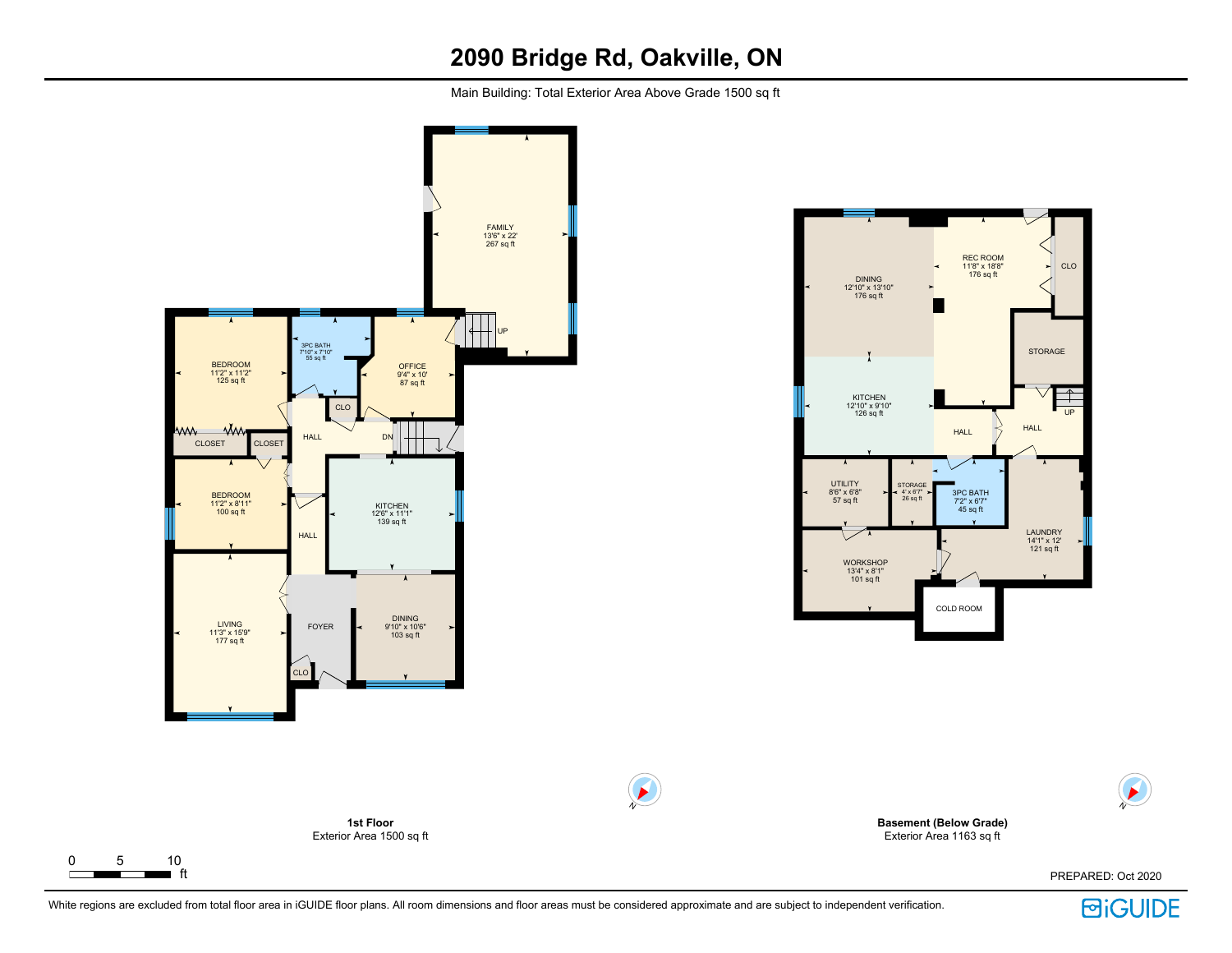# **2090 Bridge Rd, Oakville, ON**

Main Building: Total Exterior Area Above Grade 1500 sq ft



 $\Gamma$ 



**Basement (Below Grade)** Exterior Area 1163 sq ft

PREPARED: Oct 2020



N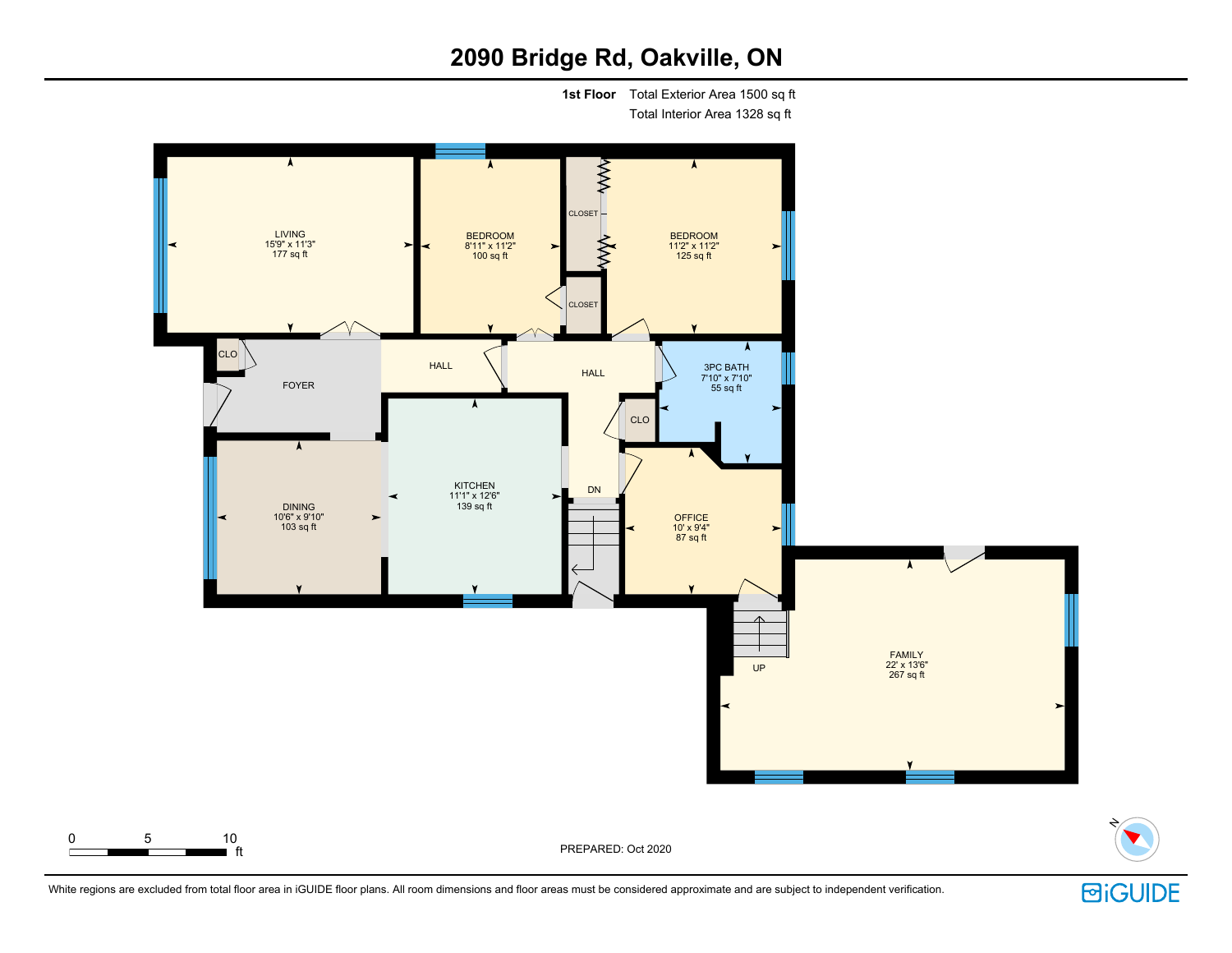# **2090 Bridge Rd, Oakville, ON**

**1st Floor** Total Exterior Area 1500 sq ft

Total Interior Area 1328 sq ft





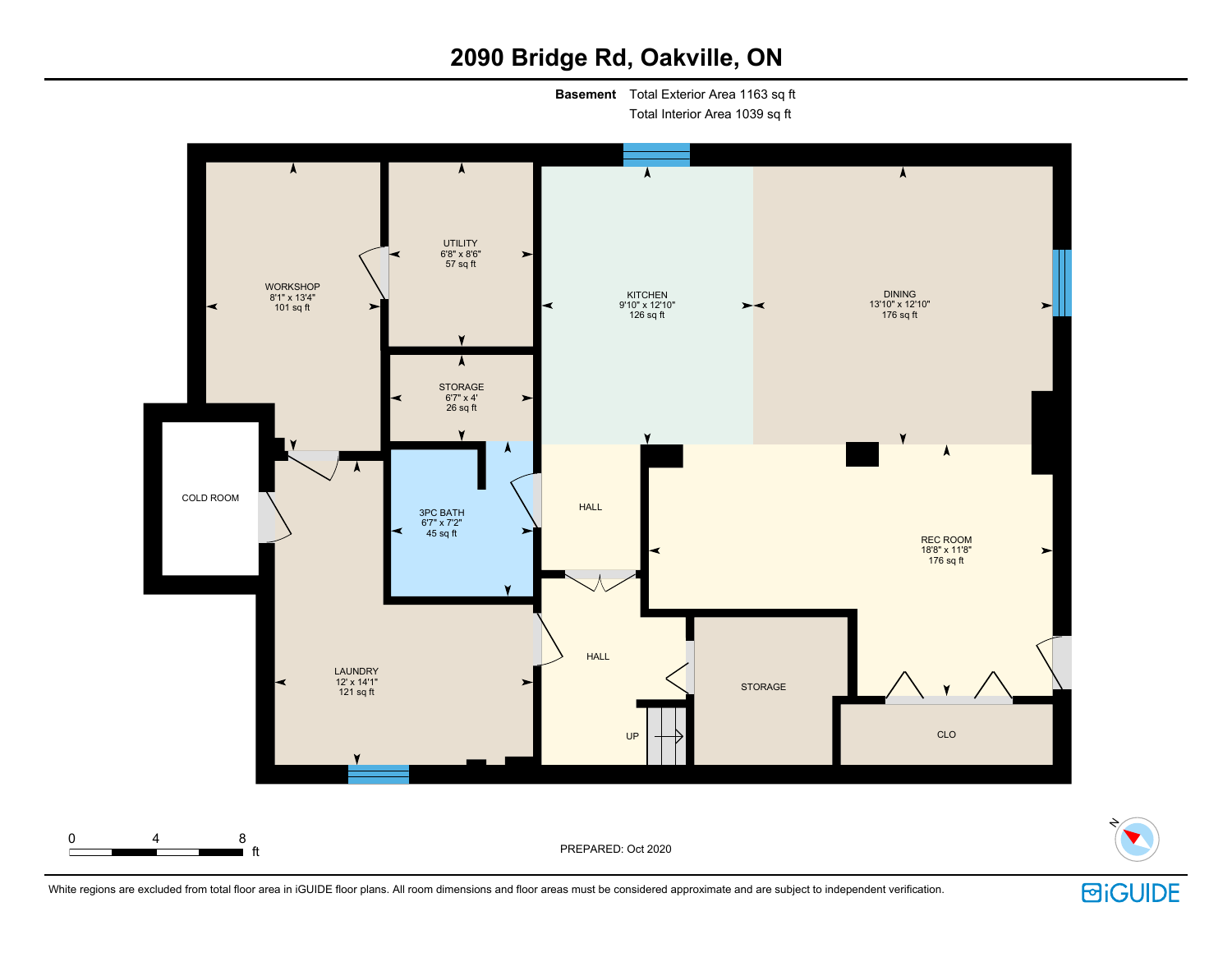# **2090 Bridge Rd, Oakville, ON**

**Basement** Total Exterior Area 1163 sq ft

Total Interior Area 1039 sq ft





N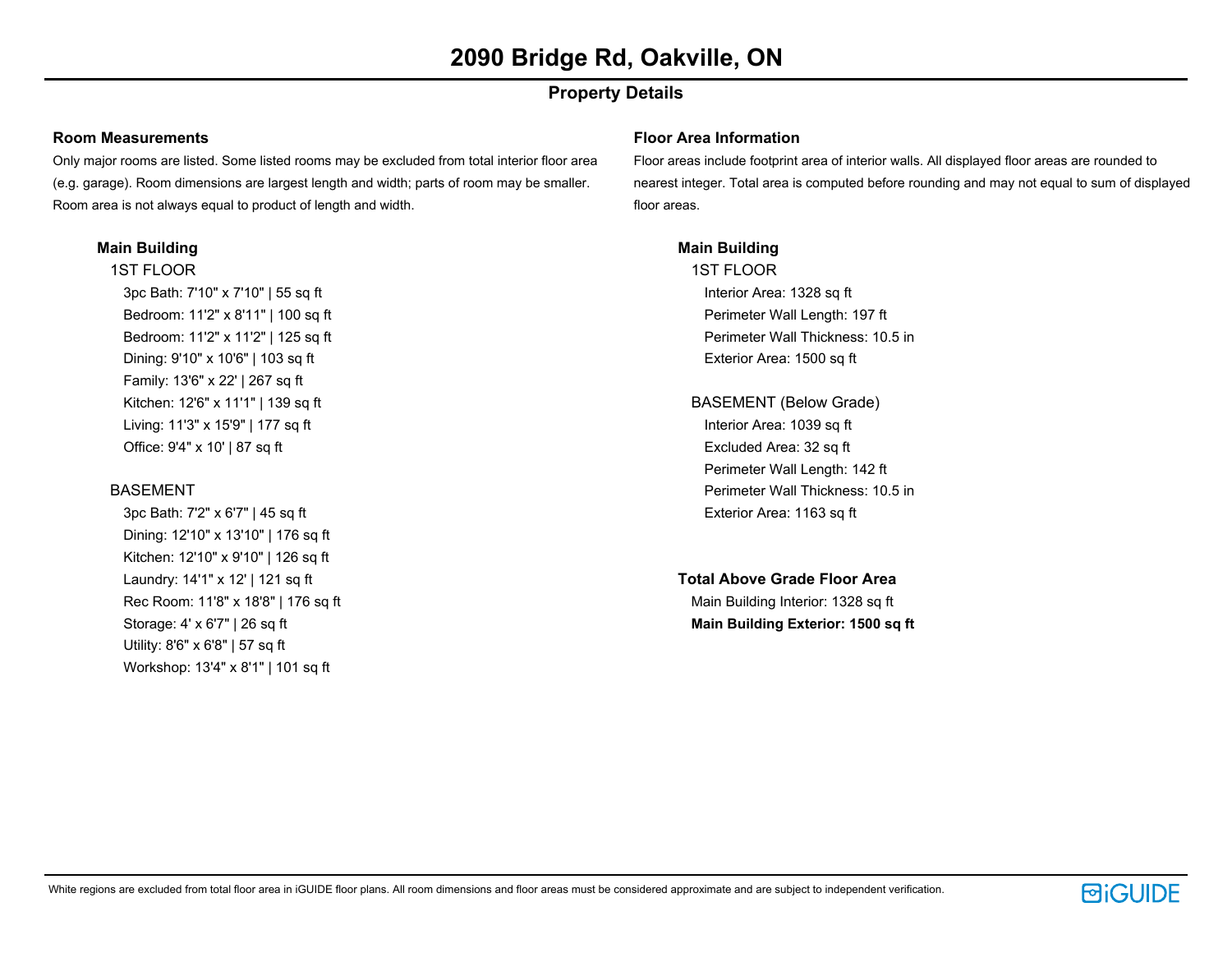## **Property Details**

#### **Room Measurements**

Only major rooms are listed. Some listed rooms may be excluded from total interior floor area (e.g. garage). Room dimensions are largest length and width; parts of room may be smaller. Room area is not always equal to product of length and width.

#### **Main Building**

1ST FLOOR 3pc Bath: 7'10" x 7'10" | 55 sq ft Bedroom: 11'2" x 8'11" | 100 sq ft Bedroom: 11'2" x 11'2" | 125 sq ft Dining: 9'10" x 10'6" | 103 sq ft Family: 13'6" x 22' | 267 sq ft

Kitchen: 12'6" x 11'1" | 139 sq ft Living: 11'3" x 15'9" | 177 sq ft Office: 9'4" x 10' | 87 sq ft

### BASEMENT

3pc Bath: 7'2" x 6'7" | 45 sq ft Dining: 12'10" x 13'10" | 176 sq ft Kitchen: 12'10" x 9'10" | 126 sq ft Laundry: 14'1" x 12' | 121 sq ft Rec Room: 11'8" x 18'8" | 176 sq ft Storage: 4' x 6'7" | 26 sq ft Utility: 8'6" x 6'8" | 57 sq ft Workshop: 13'4" x 8'1" | 101 sq ft

#### **Floor Area Information**

Floor areas include footprint area of interior walls. All displayed floor areas are rounded to nearest integer. Total area is computed before rounding and may not equal to sum of displayed floor areas.

### **Main Building**

1ST FLOOR Interior Area: 1328 sq ft Perimeter Wall Length: 197 ft Perimeter Wall Thickness: 10.5 in Exterior Area: 1500 sq ft

- BASEMENT (Below Grade) Interior Area: 1039 sq ft Excluded Area: 32 sq ft Perimeter Wall Length: 142 ft Perimeter Wall Thickness: 10.5 in Exterior Area: 1163 sq ft
- **Total Above Grade Floor Area** Main Building Interior: 1328 sq ft **Main Building Exterior: 1500 sq ft**